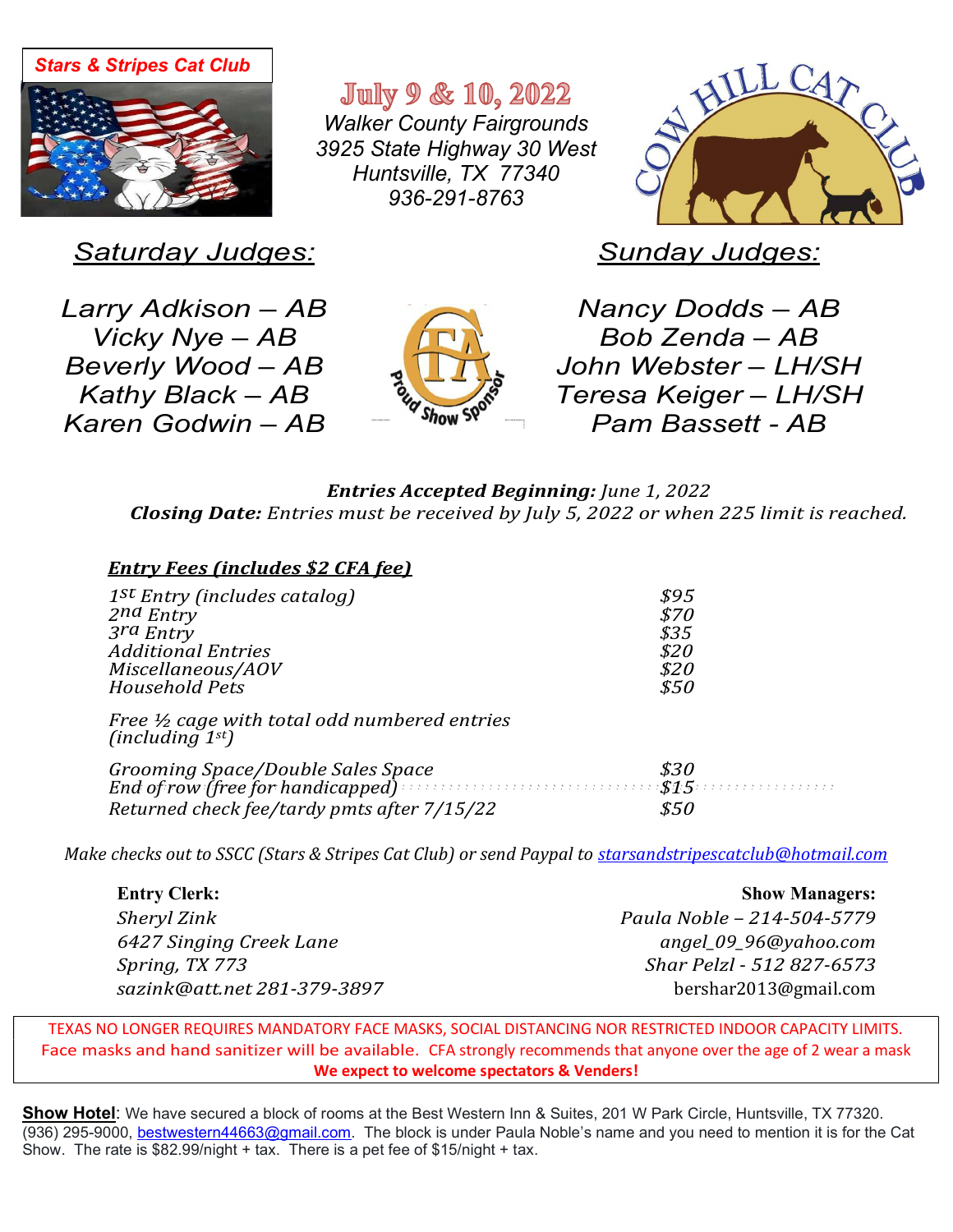

**July 9 & 10, 2022** *Walker County Fairgrounds 3925 State Highway 30 West Huntsville, TX 77340 936-291-8763* 



*Saturday Judges:* 

*Sunday Judges:* 

*Larry Adkison – AB Vicky Nye – AB Beverly Wood – AB Kathy Black – AB Karen Godwin – AB*



*Nancy Dodds – AB Bob Zenda – AB John Webster – LH/SH Teresa Keiger – LH/SH Pam Bassett - AB*

## *EntriesAcceptedBeginning:June1,2022 Closing Date: Entries must be received by July 5, 2022 or when 225 limit is reached.*

| <b>Entry Fees (includes \$2 CFA fee)</b>                                                                                                                      |                                              |
|---------------------------------------------------------------------------------------------------------------------------------------------------------------|----------------------------------------------|
| $1^{st}$ Entry (includes catalog)<br>2nd Entry<br>3rd Entry<br><b>Additional Entries</b><br>Miscellaneous/AOV<br><b>Household Pets</b>                        | \$95<br>\$70<br>\$35<br>\$20<br>\$20<br>\$50 |
| Free $\frac{1}{2}$ cage with total odd numbered entries<br>(including $1^{st}$ )                                                                              |                                              |
| Grooming Space/Double Sales Space<br>End of row (free for handicapped) $\cdots$ and $\cdots$ and $\frac{\$15}$<br>Returned check fee/tardy pmts after 7/15/22 | \$30<br>\$50                                 |

*Make checks out to SSCC (Stars & Stripes Cat Club) or send Paypal to starsandstripescatclub@hotmail.com* 

| <b>Entry Clerk:</b>         | <b>Show Managers:</b>      |
|-----------------------------|----------------------------|
| <b>Sheryl Zink</b>          | Paula Noble - 214-504-5779 |
| 6427 Singing Creek Lane     | angel_09_96@yahoo.com      |
| Spring, TX 773              | Shar Pelzl - 512 827-6573  |
| sazink@att.net 281-379-3897 | bershar2013@gmail.com      |

TEXAS NO LONGER REQUIRES MANDATORY FACE MASKS, SOCIAL DISTANCING NOR RESTRICTED INDOOR CAPACITY LIMITS. Face masks and hand sanitizer will be available. CFA strongly recommends that anyone over the age of 2 wear a mask **We expect to welcome spectators & Venders!**

**Show Hotel**: We have secured a block of rooms at the Best Western Inn & Suites, 201 W Park Circle, Huntsville, TX 77320. (936) 295-9000, bestwestern44663@gmail.com. The block is under Paula Noble's name and you need to mention it is for the Cat Show. The rate is \$82.99/night + tax. There is a pet fee of \$15/night + tax.